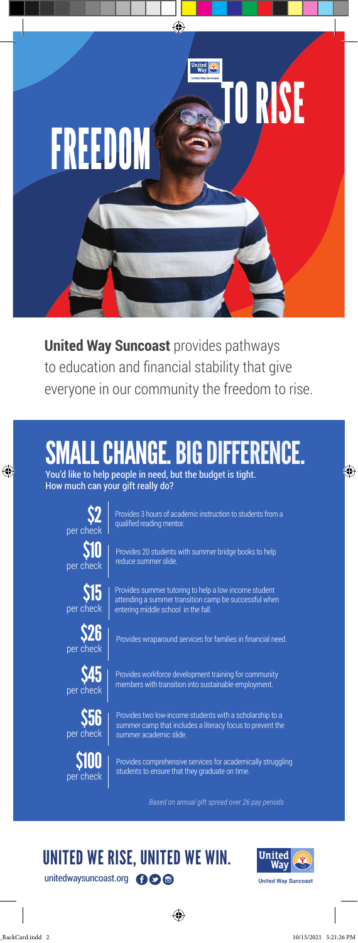

**United Way Suncoast** provides pathways to education and financial stability that give everyone in our community the freedom to rise.

## . CHANGE. BIG DIFFERENCE.

You'd like to help people in need, but the budget is tight. How much can your gift really do?



 $\bigoplus$ 

Provides 3 hours of academic instruction to students from a qualified reading mentor.



Provides 20 students with summer bridge books to help reduce summer slide.



per check



**S56** per check



Provides summer tutoring to help a low income student attending a summer transition camp be successful when entering middle school in the fall.

 $$26$  | Provides wraparound services for families in financial need.

Provides workforce development training for community members with transition into sustainable employment.

Provides two low-income students with a scholarship to a summer camp that includes a literacy focus to prevent the summer academic slide.

Provides comprehensive services for academically struggling students to ensure that they graduate on time.

*Based on annual gift spread over 26 pay periods*

## unitedwaysuncoast.org **OO** UNITED WE RISE, UNITED WE WIN.





◈